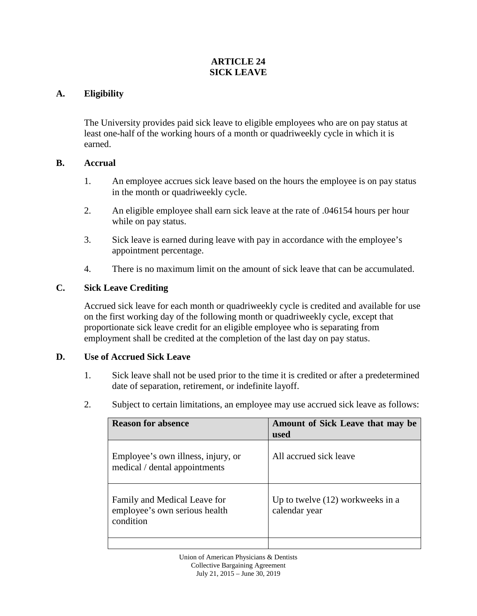## **ARTICLE 24 SICK LEAVE**

## **A. Eligibility**

The University provides paid sick leave to eligible employees who are on pay status at least one-half of the working hours of a month or quadriweekly cycle in which it is earned.

#### **B. Accrual**

- 1. An employee accrues sick leave based on the hours the employee is on pay status in the month or quadriweekly cycle.
- 2. An eligible employee shall earn sick leave at the rate of .046154 hours per hour while on pay status.
- 3. Sick leave is earned during leave with pay in accordance with the employee's appointment percentage.
- 4. There is no maximum limit on the amount of sick leave that can be accumulated.

# **C. Sick Leave Crediting**

Accrued sick leave for each month or quadriweekly cycle is credited and available for use on the first working day of the following month or quadriweekly cycle, except that proportionate sick leave credit for an eligible employee who is separating from employment shall be credited at the completion of the last day on pay status.

#### **D. Use of Accrued Sick Leave**

- 1. Sick leave shall not be used prior to the time it is credited or after a predetermined date of separation, retirement, or indefinite layoff.
- 2. Subject to certain limitations, an employee may use accrued sick leave as follows:

| <b>Reason for absence</b>                                                  | Amount of Sick Leave that may be<br>used            |
|----------------------------------------------------------------------------|-----------------------------------------------------|
| Employee's own illness, injury, or<br>medical / dental appointments        | All accrued sick leave                              |
| Family and Medical Leave for<br>employee's own serious health<br>condition | Up to twelve $(12)$ workweeks in a<br>calendar year |
|                                                                            |                                                     |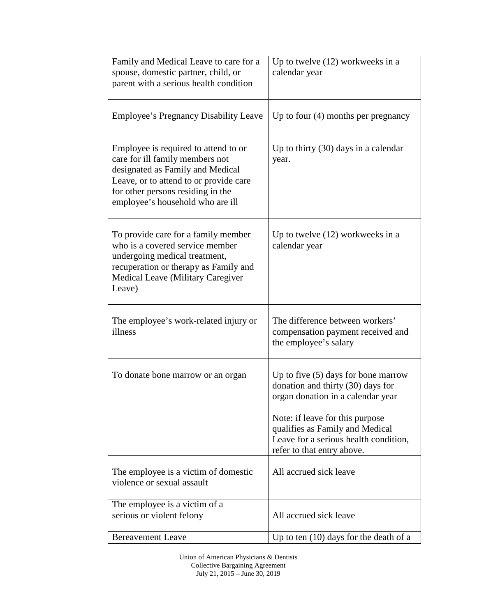| Family and Medical Leave to care for a<br>spouse, domestic partner, child, or<br>parent with a serious health condition                                                                                                        | Up to twelve $(12)$ workweeks in a<br>calendar year                                                                                                                                                                                                          |
|--------------------------------------------------------------------------------------------------------------------------------------------------------------------------------------------------------------------------------|--------------------------------------------------------------------------------------------------------------------------------------------------------------------------------------------------------------------------------------------------------------|
| <b>Employee's Pregnancy Disability Leave</b>                                                                                                                                                                                   | Up to four $(4)$ months per pregnancy                                                                                                                                                                                                                        |
| Employee is required to attend to or<br>care for ill family members not<br>designated as Family and Medical<br>Leave, or to attend to or provide care<br>for other persons residing in the<br>employee's household who are ill | Up to thirty $(30)$ days in a calendar<br>year.                                                                                                                                                                                                              |
| To provide care for a family member<br>who is a covered service member<br>undergoing medical treatment,<br>recuperation or therapy as Family and<br><b>Medical Leave (Military Caregiver)</b><br>Leave)                        | Up to twelve $(12)$ workweeks in a<br>calendar year                                                                                                                                                                                                          |
| The employee's work-related injury or<br>illness                                                                                                                                                                               | The difference between workers'<br>compensation payment received and<br>the employee's salary                                                                                                                                                                |
| To donate bone marrow or an organ                                                                                                                                                                                              | Up to five $(5)$ days for bone marrow<br>donation and thirty (30) days for<br>organ donation in a calendar year<br>Note: if leave for this purpose<br>qualifies as Family and Medical<br>Leave for a serious health condition,<br>refer to that entry above. |
| The employee is a victim of domestic<br>violence or sexual assault                                                                                                                                                             | All accrued sick leave                                                                                                                                                                                                                                       |
| The employee is a victim of a<br>serious or violent felony                                                                                                                                                                     | All accrued sick leave                                                                                                                                                                                                                                       |
| <b>Bereavement Leave</b>                                                                                                                                                                                                       | Up to ten $(10)$ days for the death of a                                                                                                                                                                                                                     |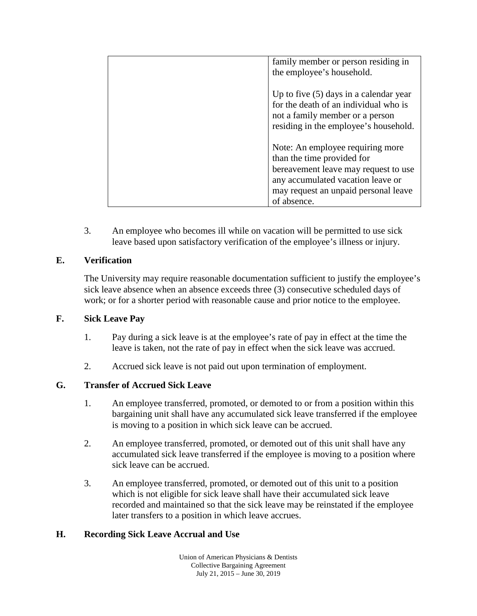| family member or person residing in      |
|------------------------------------------|
| the employee's household.                |
|                                          |
| Up to five $(5)$ days in a calendar year |
| for the death of an individual who is    |
| not a family member or a person          |
| residing in the employee's household.    |
|                                          |
| Note: An employee requiring more         |
| than the time provided for               |
| bereavement leave may request to use     |
| any accumulated vacation leave or        |
| may request an unpaid personal leave     |
| of absence.                              |
|                                          |

3. An employee who becomes ill while on vacation will be permitted to use sick leave based upon satisfactory verification of the employee's illness or injury.

## **E. Verification**

The University may require reasonable documentation sufficient to justify the employee's sick leave absence when an absence exceeds three (3) consecutive scheduled days of work; or for a shorter period with reasonable cause and prior notice to the employee.

#### **F. Sick Leave Pay**

- 1. Pay during a sick leave is at the employee's rate of pay in effect at the time the leave is taken, not the rate of pay in effect when the sick leave was accrued.
- 2. Accrued sick leave is not paid out upon termination of employment.

#### **G. Transfer of Accrued Sick Leave**

- 1. An employee transferred, promoted, or demoted to or from a position within this bargaining unit shall have any accumulated sick leave transferred if the employee is moving to a position in which sick leave can be accrued.
- 2. An employee transferred, promoted, or demoted out of this unit shall have any accumulated sick leave transferred if the employee is moving to a position where sick leave can be accrued.
- 3. An employee transferred, promoted, or demoted out of this unit to a position which is not eligible for sick leave shall have their accumulated sick leave recorded and maintained so that the sick leave may be reinstated if the employee later transfers to a position in which leave accrues.

#### **H. Recording Sick Leave Accrual and Use**